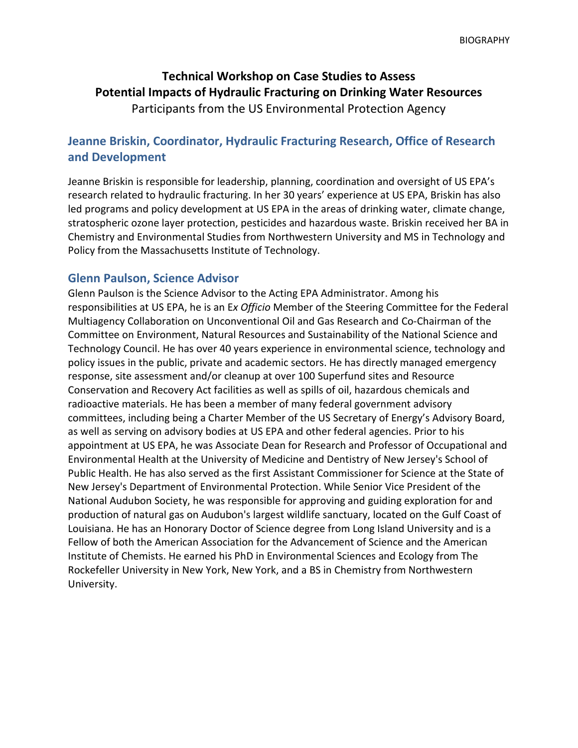# **Technical Workshop on Case Studies to Assess Potential Impacts of Hydraulic Fracturing on Drinking Water Resources** Participants from the US Environmental Protection Agency

## **Jeanne Briskin, Coordinator, Hydraulic Fracturing Research, Office of Research and Development**

Jeanne Briskin is responsible for leadership, planning, coordination and oversight of US EPA's research related to hydraulic fracturing. In her 30 years' experience at US EPA, Briskin has also led programs and policy development at US EPA in the areas of drinking water, climate change, stratospheric ozone layer protection, pesticides and hazardous waste. Briskin received her BA in Chemistry and Environmental Studies from Northwestern University and MS in Technology and Policy from the Massachusetts Institute of Technology.

#### **Glenn Paulson, Science Advisor**

Glenn Paulson is the Science Advisor to the Acting EPA Administrator. Among his responsibilities at US EPA, he is an E*x Officio* Member of the Steering Committee for the Federal Multiagency Collaboration on Unconventional Oil and Gas Research and Co-Chairman of the Committee on Environment, Natural Resources and Sustainability of the National Science and Technology Council. He has over 40 years experience in environmental science, technology and policy issues in the public, private and academic sectors. He has directly managed emergency response, site assessment and/or cleanup at over 100 Superfund sites and Resource Conservation and Recovery Act facilities as well as spills of oil, hazardous chemicals and radioactive materials. He has been a member of many federal government advisory committees, including being a Charter Member of the US Secretary of Energy's Advisory Board, as well as serving on advisory bodies at US EPA and other federal agencies. Prior to his appointment at US EPA, he was Associate Dean for Research and Professor of Occupational and Environmental Health at the University of Medicine and Dentistry of New Jersey's School of Public Health. He has also served as the first Assistant Commissioner for Science at the State of New Jersey's Department of Environmental Protection. While Senior Vice President of the National Audubon Society, he was responsible for approving and guiding exploration for and production of natural gas on Audubon's largest wildlife sanctuary, located on the Gulf Coast of Louisiana. He has an Honorary Doctor of Science degree from Long Island University and is a Fellow of both the American Association for the Advancement of Science and the American Institute of Chemists. He earned his PhD in Environmental Sciences and Ecology from The Rockefeller University in New York, New York, and a BS in Chemistry from Northwestern University.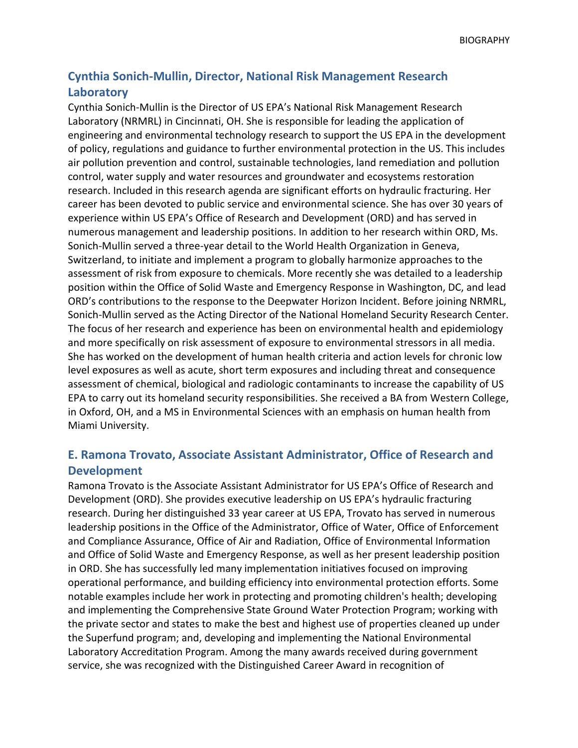## **Cynthia Sonich-Mullin, Director, National Risk Management Research Laboratory**

Cynthia Sonich-Mullin is the Director of US EPA's National Risk Management Research Laboratory (NRMRL) in Cincinnati, OH. She is responsible for leading the application of engineering and environmental technology research to support the US EPA in the development of policy, regulations and guidance to further environmental protection in the US. This includes air pollution prevention and control, sustainable technologies, land remediation and pollution control, water supply and water resources and groundwater and ecosystems restoration research. Included in this research agenda are significant efforts on hydraulic fracturing. Her career has been devoted to public service and environmental science. She has over 30 years of experience within US EPA's Office of Research and Development (ORD) and has served in numerous management and leadership positions. In addition to her research within ORD, Ms. Sonich-Mullin served a three-year detail to the World Health Organization in Geneva, Switzerland, to initiate and implement a program to globally harmonize approaches to the assessment of risk from exposure to chemicals. More recently she was detailed to a leadership position within the Office of Solid Waste and Emergency Response in Washington, DC, and lead ORD's contributions to the response to the Deepwater Horizon Incident. Before joining NRMRL, Sonich-Mullin served as the Acting Director of the National Homeland Security Research Center. The focus of her research and experience has been on environmental health and epidemiology and more specifically on risk assessment of exposure to environmental stressors in all media. She has worked on the development of human health criteria and action levels for chronic low level exposures as well as acute, short term exposures and including threat and consequence assessment of chemical, biological and radiologic contaminants to increase the capability of US EPA to carry out its homeland security responsibilities. She received a BA from Western College, in Oxford, OH, and a MS in Environmental Sciences with an emphasis on human health from Miami University.

## **E. Ramona Trovato, Associate Assistant Administrator, Office of Research and Development**

Ramona Trovato is the Associate Assistant Administrator for US EPA's Office of Research and Development (ORD). She provides executive leadership on US EPA's hydraulic fracturing research. During her distinguished 33 year career at US EPA, Trovato has served in numerous leadership positions in the Office of the Administrator, Office of Water, Office of Enforcement and Compliance Assurance, Office of Air and Radiation, Office of Environmental Information and Office of Solid Waste and Emergency Response, as well as her present leadership position in ORD. She has successfully led many implementation initiatives focused on improving operational performance, and building efficiency into environmental protection efforts. Some notable examples include her work in protecting and promoting children's health; developing and implementing the Comprehensive State Ground Water Protection Program; working with the private sector and states to make the best and highest use of properties cleaned up under the Superfund program; and, developing and implementing the National Environmental Laboratory Accreditation Program. Among the many awards received during government service, she was recognized with the Distinguished Career Award in recognition of